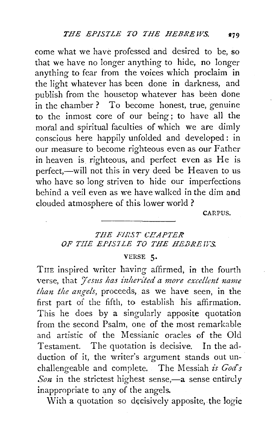come what we have professed and desired to be, so that we have no longer anything to hide, no longer anything to fear from the voices which proclaim **in**  the light whatever has been done **in** darkness, and publish from the housetop whatever has been done in the chamber? To become honest, true, genuine to the inmost core of our being; to have all the moral and spiritual faculties of which we are dimly conscious here happily unfolded and developed : in our measure to become righteous even as our Father in heaven is righteous, and perfect even as He is perfect,—will not this in very deed be Heaven to us who have so long striven to hide our imperfections behind a veil even as we have walked in the dim and clouded atmosphere of this lower world ?

CARPUS.

## *THE FIRST C.f.!APTER*  OF THE EPISILE TO THE HEBREWS.

## VERSE 5·

THE inspired writer having affirmed, in the fourth verse, that *Jesus has inherited a more excellent name than the angels*, proceeds, as we have seen, in the first part of the fifth, to establish his affirmation. This he does by a singularly apposite quotation from the second Psalm, one of the most remarkable and artistic of the Messianic oracles of the Old Testament. The quotation is decisive. In the ad. duction of it, the writer's argument stands out un. challengeable and complete. The Messiah *is God's Son* in the strictest highest sense,—a sense entirely inappropriate to any of the angels.

With a quotation so decisively apposite, the logic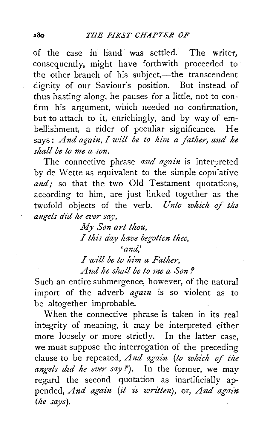of the case in hand was settled. The writer, consequently, might have forthwith proceeded to the other branch of his subject,—the transcendent dignity of our Saviour's position. But instead of thus basting along, he pauses for a little, not to confirm his argument, which needed no confirmation, but to attach to it, enrichingly, and by way of embellishment, a rider of peculiar significance. He says: And again, I will be to him a father, and he *shall be to me a son.* 

The connective phrase *and again* is interpreted by de Wette as equivalent to the simple copulative and; so that the two Old Testament quotations, according to him, are just linked together as the twofold objects of the verb. *Unto which of the angels did he ever say,* 

> *My Son art thou,*  I *this day have begotten thee, 'and,' I will be to him a Father,*

*And he shall be to me a Son ?* 

Such an entire submergence, however, of the natural import of the adverb *agazn* is so violent as to be altogether improbable.

When the connective phrase is taken in its real integrity of meaning, it may be interpreted either more loosely or more strictly. In the latter case, we must suppose the interrogation of the preceding clause to be repeated, *And again (to which of the*  angels did he ever say?). In the former, we may regard the second quotation as inartificially appended, *And again* (it is written), or, *And again (he says).*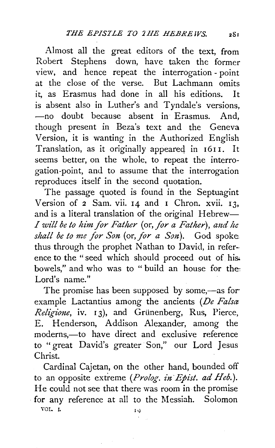Almost all the great editors of the text, from Robert Stephens down, have taken the former view, and hence repeat the interrogation- point at the close of the verse. But Lachmann omits it, as Erasmus had done in all his editions. It is absent also in Luther's and Tyndale's versions, -no doubt because absent in Erasmus. And, though present in Beza's text and the Geneva Version, it is wanting in the Authorized English Translation, as it originally appeared in 1611. It seems better, on the whole, to repeat the interrogation-point, and to assume that the interrogation reproduces itself in the second quotation.

The passage quoted is found in the Septuagint Version of  $2$  Sam. vii.  $14$  and  $1$  Chron. xvii.  $13$ , and is a literal translation of the original Hebrew-*I* will be to him for Father (or, for a Father), and he *shall be to me for Son* (or, *for a Son).* God spoke thus through the prophet Nathan to David, in reference to the "seed which should proceed out of his bowels," and who was to "build an house for the: Lord's name."

The promise has been supposed by some,—as for example Lactantius among the ancients *(De Falsa Religione*, iv. 13), and Grünenberg, Rus, Pierce, E. Henderson, Addison Alexander, among the moderns,—to have direct and exclusive reference to "great David's greater Son," our Lord Jesus Christ.

Cardinal Cajetan, on the other hand, bounded off to an opposite extreme *(Prolog. in Epist. ad Heb.)*. He could not see that there was room in the promise for any reference at all to the Messiah. Solomon

VOL. I. 10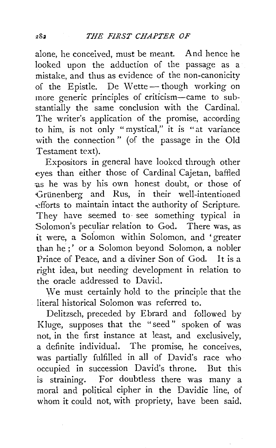alone, he conceived, must be meant. And hence he looked upon the adduction of the passage as a mistake, and thus as evidence of the non-canonicity of the Epistle. De Wette-though working on more generic principles of criticism-came to substantially the same conclusion with the Cardinal. The writer's application of the promise, according to him, is not only "mystical," it is "at variance with the connection" (of the passage in the Old Testament text).

Expositors in general have looked through other eyes than either those of Cardinal Cajetan, baffled :as he was by his own honest doubt, or those of Grünenberg and Rus, in their well-intentioned ~fforts to maintain intact the authority of Scripture. They have seemed to see something typical in Solomon's peculiar relation to God. There was, as it were, a Soiomon within Solomon, and 'greater than he ;' or a Solomon beyond Solomon, a nobler Prince of Peace, and a diviner Son of God. It is a right idea, but needing development in relation to the oracle addressed to David.

We must certainly hold to the principle that the literal historical Solomon was referred to.

Delitzsch, preceded by Ebrard and followed by Kluge, supposes that the "seed" spoken of was not, in the first instance at least, and exclusively, a definite individual. The promise, he conceives, was partially fulfilled in all of David's race who occupied in succession David's throne. But this is straining. For doubtless there was many a moral and political cipher in the Davidic line, of whom it could not, with propriety, have been said.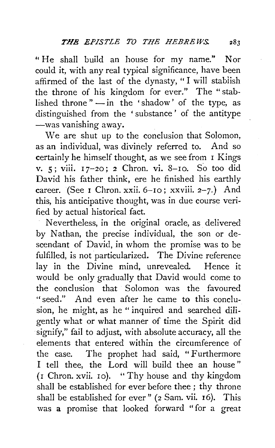"He shall build an house for my name." Nor could it, with any real typical significance, have been affirmed of the last of the dynasty, " I will stabiish the throne of his kingdom for ever." The "stablished throne " $-$ in the 'shadow' of the type, as distinguished from the ' substance ' of the antitype -was vanishing away.

We are shut up to the conclusion that Solomon, as an individual, was divinely referred to. And so certainly he himself thought, as we see from I Kings v. 5; viii. 17-20; *2* Chron. vi. 8-10. So too did David his father think, ere he finished his earthly career. (See **1** Chron. xxii. 6-10; xxviii. 2-7.) And this, his anticipative thought, was in due course verified by actual historical fact.

Nevertheless, in the original oracle, as delivered by Nathan, the precise individual, the son or descendant of David, in whom the promise was to be fulfilled, is not particularized. The Divine reference lay in the Divine mind, unrevealed. Hence it would be only gradually that David would come to the conclusion that Solomon was the favoured "seed." And even after he came to this conclusion, he might, as he " inquired and searched diligently what or what manner of time the Spirit did signify," fail to adjust, with absolute accuracy, all the elements that entered within the circumference of the case. The prophet had said, " Furthermore I tell thee, the Lord will build thee an house " (1 Chron. xvii. 10). "Thy house and thy kingdom shall be established for ever before thee ; thy throne shall be established for ever"  $(2 \text{ Sam. vii. } 16)$ . This was a promise that looked forward "for a great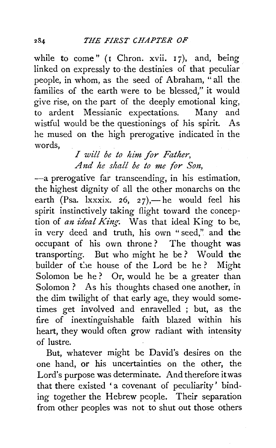while to come" (I Chron. xvii. 17), and, being linked on expressly to ·the destinies of that peculiar people, in whom, as the seed of Abraham, "all the families of the earth were to be blessed," it would give rise, on the part of the deeply emotional king, to ardent Messianic expectations. Many and wistful would be the questionings of his spirit. As he mused on the high prerogative indicated in the words,

*I will be to him for Father, And he shall be to me for S01t,* 

-a prerogative far transcending, in his estimation, the highest dignity of all the other monarchs on the earth (Psa.  $lxxxix.$  26, 27),—he would feel his spirit instinctively taking flight toward the conception of *an ideal King*. Was that ideal King to be, in very deed and truth, his own " seed,". and the occupant of his own throne ? The thought was transporting. But who might he be? Would the builder of the house of the Lord be he? Might Solomon be he? Or, would he be a greater than Solomon ? As his thoughts chased one another, in the dim twilight of that early age, they would sometimes get involved and enravelled ; but, as the fire of inextinguishable faith blazed within his heart, they would often grow radiant with intensity of lustre.

But, whatever might be David's desires on the one hand, or his uncertainties on the other, the Lord's purpose was determinate. And therefore it was that there existed 'a covenant of peculiarity' binding together the Hebrew people. Their separation from other peoples was not to shut out those others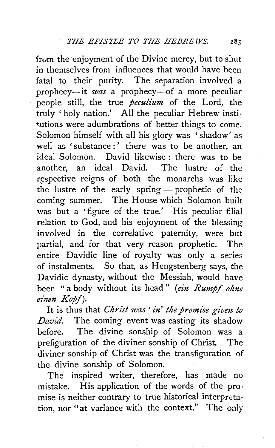from the enjoyment of the Divine mercy, but to shut in themselves from influences that would have been fatal to their purity. The separation involved a prophecy-it *was* a prophecy-of a more peculiar people still, the true *peculium* of the Lord, the truly 'holy nation.' All the peculiar Hebrew institutions were adumbrations of better things to come. Solomon himself with all his glory was ' shadow' as well as 'substance :' there was to be another, an ideal Solomon. David likewise : there was to be another, an ideal David. The lustre of the respective reigns of both the monarchs was like the lustre of the early spring - prophetic of the coming summer. The House which Solomon built was but a 'figure of the true.' His peculiar filial relation to God, and his enjoyment of the blessing involved in the correlative paternity, were but partial, and for that very reason prophetic. The entire Davidic line of royalty was only a series of instalments. So that, as Hengstenberg says, the Davidic dynasty, without the Messiah, would have been "a body without its head" *(ein Rumpf ohne*   $einen$  *Kopf*).

It is thus that *Christ was' in' the promise given to David.* The coming event was casting its shadow before. The divine sonship of Solomon· was a prefiguration of the diviner sonship of Christ. The diviner sonship of Christ was the transfiguration of the divine sonship of Solomon.

The inspired writer, therefore, has made no mistake. His application of the words of the promise is neither contrary to true historical interpretation, nor "at variance with the context." The only